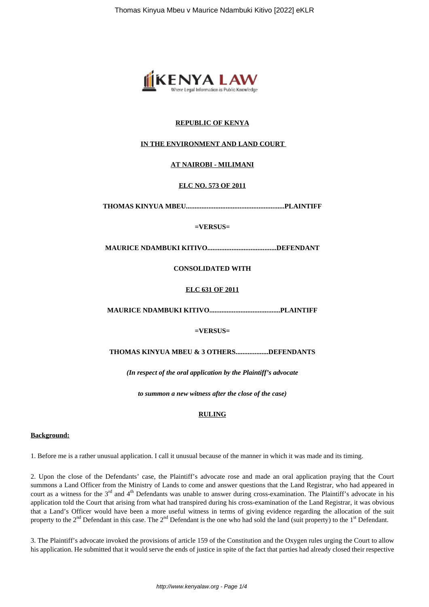

### **REPUBLIC OF KENYA**

#### **IN THE ENVIRONMENT AND LAND COURT**

#### **AT NAIROBI - MILIMANI**

#### **ELC NO. 573 OF 2011**

**THOMAS KINYUA MBEU.........................................................PLAINTIFF**

#### **=VERSUS=**

**MAURICE NDAMBUKI KITIVO........................................DEFENDANT**

#### **CONSOLIDATED WITH**

#### **ELC 631 OF 2011**

**MAURICE NDAMBUKI KITIVO.........................................PLAINTIFF**

#### **=VERSUS=**

#### **THOMAS KINYUA MBEU & 3 OTHERS...................DEFENDANTS**

*(In respect of the oral application by the Plaintiff's advocate*

*to summon a new witness after the close of the case)*

#### **RULING**

#### **Background:**

1. Before me is a rather unusual application. I call it unusual because of the manner in which it was made and its timing.

2. Upon the close of the Defendants' case, the Plaintiff's advocate rose and made an oral application praying that the Court summons a Land Officer from the Ministry of Lands to come and answer questions that the Land Registrar, who had appeared in court as a witness for the  $3<sup>rd</sup>$  and  $4<sup>th</sup>$  Defendants was unable to answer during cross-examination. The Plaintiff's advocate in his application told the Court that arising from what had transpired during his cross-examination of the Land Registrar, it was obvious that a Land's Officer would have been a more useful witness in terms of giving evidence regarding the allocation of the suit property to the  $2<sup>nd</sup>$  Defendant in this case. The  $2<sup>nd</sup>$  Defendant is the one who had sold the land (suit property) to the 1<sup>st</sup> Defendant.

3. The Plaintiff's advocate invoked the provisions of article 159 of the Constitution and the Oxygen rules urging the Court to allow his application. He submitted that it would serve the ends of justice in spite of the fact that parties had already closed their respective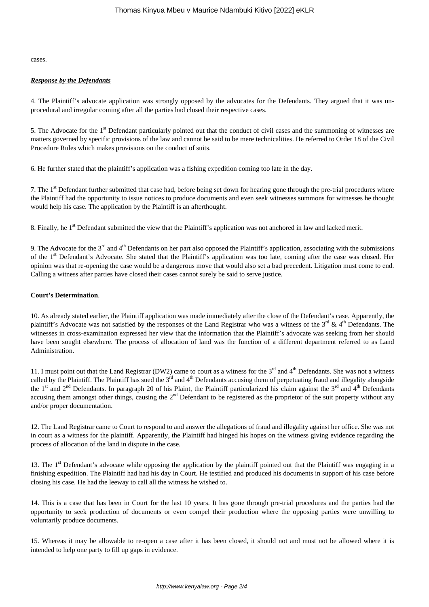cases.

#### *Response by the Defendants*

4. The Plaintiff's advocate application was strongly opposed by the advocates for the Defendants. They argued that it was unprocedural and irregular coming after all the parties had closed their respective cases.

5. The Advocate for the 1<sup>st</sup> Defendant particularly pointed out that the conduct of civil cases and the summoning of witnesses are matters governed by specific provisions of the law and cannot be said to be mere technicalities. He referred to Order 18 of the Civil Procedure Rules which makes provisions on the conduct of suits.

6. He further stated that the plaintiff's application was a fishing expedition coming too late in the day.

7. The 1<sup>st</sup> Defendant further submitted that case had, before being set down for hearing gone through the pre-trial procedures where the Plaintiff had the opportunity to issue notices to produce documents and even seek witnesses summons for witnesses he thought would help his case. The application by the Plaintiff is an afterthought.

8. Finally, he 1<sup>st</sup> Defendant submitted the view that the Plaintiff's application was not anchored in law and lacked merit.

9. The Advocate for the  $3<sup>rd</sup>$  and  $4<sup>th</sup>$  Defendants on her part also opposed the Plaintiff's application, associating with the submissions of the 1st Defendant's Advocate. She stated that the Plaintiff's application was too late, coming after the case was closed. Her opinion was that re-opening the case would be a dangerous move that would also set a bad precedent. Litigation must come to end. Calling a witness after parties have closed their cases cannot surely be said to serve justice.

#### **Court's Determination**.

10. As already stated earlier, the Plaintiff application was made immediately after the close of the Defendant's case. Apparently, the plaintiff's Advocate was not satisfied by the responses of the Land Registrar who was a witness of the  $3<sup>rd</sup>$  & 4<sup>th</sup> Defendants. The witnesses in cross-examination expressed her view that the information that the Plaintiff's advocate was seeking from her should have been sought elsewhere. The process of allocation of land was the function of a different department referred to as Land Administration.

11. I must point out that the Land Registrar (DW2) came to court as a witness for the  $3<sup>rd</sup>$  and  $4<sup>th</sup>$  Defendants. She was not a witness called by the Plaintiff. The Plaintiff has sued the  $3^{rd}$  and  $4^{th}$  Defendants accusing them of perpetuating fraud and illegality alongside the 1<sup>st</sup> and 2<sup>nd</sup> Defendants. In paragraph 20 of his Plaint, the Plaintiff particularized his claim against the 3<sup>rd</sup> and 4<sup>th</sup> Defendants accusing them amongst other things, causing the 2<sup>nd</sup> Defendant to be registered as the proprietor of the suit property without any and/or proper documentation.

12. The Land Registrar came to Court to respond to and answer the allegations of fraud and illegality against her office. She was not in court as a witness for the plaintiff. Apparently, the Plaintiff had hinged his hopes on the witness giving evidence regarding the process of allocation of the land in dispute in the case.

13. The  $1<sup>st</sup>$  Defendant's advocate while opposing the application by the plaintiff pointed out that the Plaintiff was engaging in a finishing expedition. The Plaintiff had had his day in Court. He testified and produced his documents in support of his case before closing his case. He had the leeway to call all the witness he wished to.

14. This is a case that has been in Court for the last 10 years. It has gone through pre-trial procedures and the parties had the opportunity to seek production of documents or even compel their production where the opposing parties were unwilling to voluntarily produce documents.

15. Whereas it may be allowable to re-open a case after it has been closed, it should not and must not be allowed where it is intended to help one party to fill up gaps in evidence.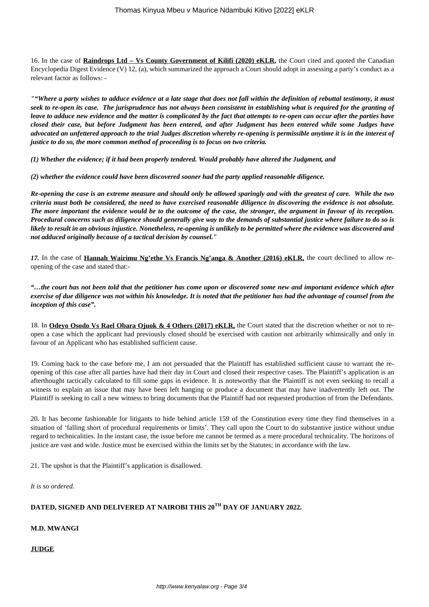16. In the case of **Raindrops Ltd – Vs County Government of Kilifi (2020) eKLR,** the Court cited and quoted the Canadian Encyclopedia Digest Evidence (V) 12, (a), which summarized the approach a Court should adopt in assessing a party's conduct as a relevant factor as follows: -

*""Where a party wishes to adduce evidence at a late stage that does not fall within the definition of rebuttal testimony, it must seek to re-open its case. The jurisprudence has not always been consistent in establishing what is required for the granting of leave to adduce new evidence and the matter is complicated by the fact that attempts to re-open can occur after the parties have closed their case, but before Judgment has been entered, and after Judgment has been entered while some Judges have advocated an unfettered approach to the trial Judges discretion whereby re-opening is permissible anytime it is in the interest of justice to do so, the more common method of proceeding is to focus on two criteria.*

*(1) Whether the evidence; if it had been properly tendered. Would probably have altered the Judgment, and*

*(2) whether the evidence could have been discovered sooner had the party applied reasonable diligence.*

*Re-opening the case is an extreme measure and should only be allowed sparingly and with the greatest of care. While the two criteria must both be considered, the need to have exercised reasonable diligence in discovering the evidence is not absolute. The more important the evidence would be to the outcome of the case, the stronger, the argument in favour of its reception. Procedural concerns such as diligence should generally give way to the demands of substantial justice where failure to do so is likely to result in an obvious injustice. Nonetheless, re-opening is unlikely to be permitted where the evidence was discovered and not adduced originally because of a tactical decision by counsel."*

*17.* In the case of **Hannah Wairimu Ng'ethe Vs Francis Ng'anga & Another (2016) eKLR,** the court declined to allow reopening of the case and stated that:-

*"…the court has not been told that the petitioner has come upon or discovered some new and important evidence which after exercise of due diligence was not within his knowledge. It is noted that the petitioner has had the advantage of counsel from the inception of this case".*

18. In **Odeyo Osodo Vs Rael Obara Ojuok & 4 Others (2017) eKLR,** the Court stated that the discretion whether or not to reopen a case which the applicant had previously closed should be exercised with caution not arbitrarily whimsically and only in favour of an Applicant who has established sufficient cause.

19. Coming back to the case before me, I am not persuaded that the Plaintiff has established sufficient cause to warrant the reopening of this case after all parties have had their day in Court and closed their respective cases. The Plaintiff's application is an afterthought tactically calculated to fill some gaps in evidence. It is noteworthy that the Plaintiff is not even seeking to recall a witness to explain an issue that may have been left hanging or produce a document that may have inadvertently left out. The Plaintiff is seeking to call a new witness to bring documents that the Plaintiff had not requested production of from the Defendants.

20. It has become fashionable for litigants to hide behind article 159 of the Constitution every time they find themselves in a situation of 'falling short of procedural requirements or limits'. They call upon the Court to do substantive justice without undue regard to technicalities. In the instant case, the issue before me cannot be termed as a mere procedural technicality. The horizons of justice are vast and wide. Justice must be exercised within the limits set by the Statutes; in accordance with the law.

21. The upshot is that the Plaintiff's application is disallowed.

*It is so ordered.* 

## **DATED, SIGNED AND DELIVERED AT NAIROBI THIS 20TH DAY OF JANUARY 2022.**

**M.D. MWANGI**

**JUDGE**